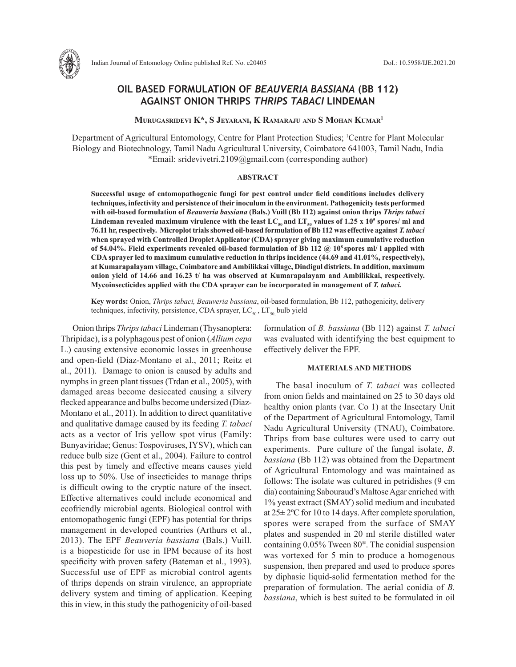

Indian Journal of Entomology Online published Ref. No. e20405 DoI.: 10.5958/IJE.2021.20

# **OIL BASED FORMULATION OF** *BEAUVERIA BASSIANA* **(BB 112) AGAINST ONION THRIPS** *THRIPS TABACI* **LINDEMAN**

 **Murugasridevi K\*, S Jeyarani, K Ramaraju and S Mohan Kumar1**

Department of Agricultural Entomology, Centre for Plant Protection Studies; <sup>1</sup>Centre for Plant Molecular Biology and Biotechnology, Tamil Nadu Agricultural University, Coimbatore 641003, Tamil Nadu, India \*Email: sridevivetri.2109@gmail.com (corresponding author)

#### **ABSTRACT**

**Successful usage of entomopathogenic fungi for pest control under field conditions includes delivery techniques, infectivity and persistence of their inoculum in the environment. Pathogenicity tests performed with oil-based formulation of** *Beauveria bassiana* **(Bals.) Vuill (Bb 112) against onion thrips** *Thrips tabaci* Lindeman revealed maximum virulence with the least  $LC_{\rm s0}$  and  $LT_{\rm s0}$  values of 1.25 x 10<sup>5</sup> spores/ ml and **76.11 hr, respectively. Microplot trials showed oil-based formulation of Bb 112 was effective against** *T. tabaci* **when sprayed with Controlled Droplet Applicator (CDA) sprayer giving maximum cumulative reduction of 54.04%. Field experiments revealed oil-based formulation of Bb 112 @ 108 spores ml/ l applied with CDA sprayer led to maximum cumulative reduction in thrips incidence (44.69 and 41.01%, respectively), at Kumarapalayam village, Coimbatore and Ambilikkai village, Dindigul districts. In addition, maximum onion yield of 14.66 and 16.23 t/ ha was observed at Kumarapalayam and Ambilikkai, respectively. Mycoinsecticides applied with the CDA sprayer can be incorporated in management of** *T. tabaci.*

**Key words:** Onion, *Thrips tabaci, Beauveria bassiana*, oil-based formulation, Bb 112, pathogenicity, delivery techniques, infectivity, persistence, CDA sprayer,  $LC_{50}$ ,  $LT_{50}$  bulb yield

Onion thrips *Thrips tabaci* Lindeman (Thysanoptera: Thripidae), is a polyphagous pest of onion (*Allium cepa* L.) causing extensive economic losses in greenhouse and open-field (Diaz-Montano et al., 2011; Reitz et al., 2011). Damage to onion is caused by adults and nymphs in green plant tissues (Trdan et al., 2005), with damaged areas become desiccated causing a silvery flecked appearance and bulbs become undersized (Diaz-Montano et al., 2011). In addition to direct quantitative and qualitative damage caused by its feeding *T. tabaci*  acts as a vector of Iris yellow spot virus (Family: Bunyaviridae; Genus: Tospoviruses, IYSV), which can reduce bulb size (Gent et al., 2004). Failure to control this pest by timely and effective means causes yield loss up to 50%. Use of insecticides to manage thrips is difficult owing to the cryptic nature of the insect. Effective alternatives could include economical and ecofriendly microbial agents. Biological control with entomopathogenic fungi (EPF) has potential for thrips management in developed countries (Arthurs et al., 2013). The EPF *Beauveria bassiana* (Bals.) Vuill. is a biopesticide for use in IPM because of its host specificity with proven safety (Bateman et al., 1993). Successful use of EPF as microbial control agents of thrips depends on strain virulence, an appropriate delivery system and timing of application. Keeping this in view, in this study the pathogenicity of oil-based

formulation of *B. bassiana* (Bb 112) against *T. tabaci*  was evaluated with identifying the best equipment to effectively deliver the EPF.

## **MATERIALS AND METHODS**

The basal inoculum of *T. tabaci* was collected from onion fields and maintained on 25 to 30 days old healthy onion plants (var. Co 1) at the Insectary Unit of the Department of Agricultural Entomology, Tamil Nadu Agricultural University (TNAU), Coimbatore. Thrips from base cultures were used to carry out experiments. Pure culture of the fungal isolate, *B. bassiana* (Bb 112) was obtained from the Department of Agricultural Entomology and was maintained as follows: The isolate was cultured in petridishes (9 cm dia) containing Sabouraud's Maltose Agar enriched with 1% yeast extract (SMAY) solid medium and incubated at 25± 2ºC for 10 to 14 days. After complete sporulation, spores were scraped from the surface of SMAY plates and suspended in 20 ml sterile distilled water containing 0.05% Tween 80®. The conidial suspension was vortexed for 5 min to produce a homogenous suspension, then prepared and used to produce spores by diphasic liquid-solid fermentation method for the preparation of formulation. The aerial conidia of *B. bassiana*, which is best suited to be formulated in oil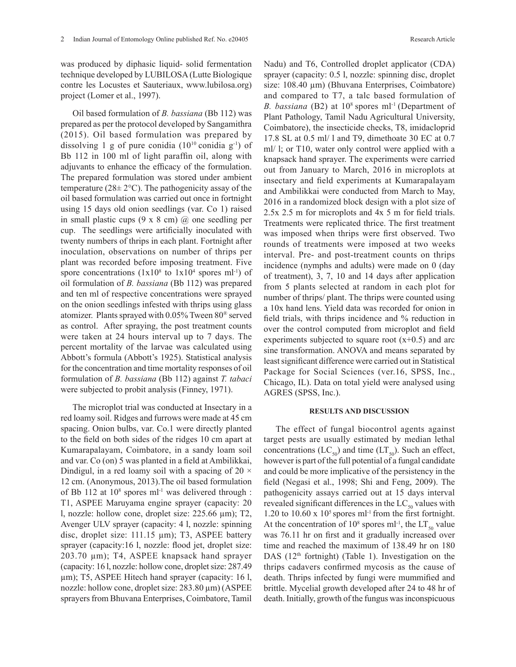was produced by diphasic liquid- solid fermentation technique developed by LUBILOSA (Lutte Biologique contre les Locustes et Sauteriaux, www.lubilosa.org) project (Lomer et al., 1997).

Oil based formulation of *B. bassiana* (Bb 112) was prepared as per the protocol developed by Sangamithra (2015). Oil based formulation was prepared by dissolving 1 g of pure conidia  $(10^{10} \text{ conidia g}^{-1})$  of Bb 112 in 100 ml of light paraffin oil, along with adjuvants to enhance the efficacy of the formulation. The prepared formulation was stored under ambient temperature ( $28 \pm 2$ °C). The pathogenicity assay of the oil based formulation was carried out once in fortnight using 15 days old onion seedlings (var. Co 1) raised in small plastic cups  $(9 \times 8 \text{ cm})$  (*a*) one seedling per cup. The seedlings were artificially inoculated with twenty numbers of thrips in each plant. Fortnight after inoculation, observations on number of thrips per plant was recorded before imposing treatment. Five spore concentrations  $(1x10<sup>8</sup>$  to  $1x10<sup>4</sup>$  spores ml<sup>-1</sup>) of oil formulation of *B. bassiana* (Bb 112) was prepared and ten ml of respective concentrations were sprayed on the onion seedlings infested with thrips using glass atomizer. Plants sprayed with 0.05% Tween 80® served as control. After spraying, the post treatment counts were taken at 24 hours interval up to 7 days. The percent mortality of the larvae was calculated using Abbott's formula (Abbott's 1925). Statistical analysis for the concentration and time mortality responses of oil formulation of *B. bassiana* (Bb 112) against *T. tabaci* were subjected to probit analysis (Finney, 1971).

The microplot trial was conducted at Insectary in a red loamy soil. Ridges and furrows were made at 45 cm spacing. Onion bulbs, var. Co.1 were directly planted to the field on both sides of the ridges 10 cm apart at Kumarapalayam, Coimbatore, in a sandy loam soil and var. Co (on) 5 was planted in a field at Ambilikkai, Dindigul, in a red loamy soil with a spacing of 20  $\times$ 12 cm. (Anonymous, 2013).The oil based formulation of Bb 112 at  $10^8$  spores ml<sup>-1</sup> was delivered through : T1, ASPEE Maruyama engine sprayer (capacity: 20 l, nozzle: hollow cone, droplet size: 225.66 µm); T2, Avenger ULV sprayer (capacity: 4 l, nozzle: spinning disc, droplet size: 111.15 µm); T3, ASPEE battery sprayer (capacity:16 l, nozzle: flood jet, droplet size: 203.70 µm); T4, ASPEE knapsack hand sprayer (capacity: 16 l, nozzle: hollow cone, droplet size: 287.49 µm); T5, ASPEE Hitech hand sprayer (capacity: 16 l, nozzle: hollow cone, droplet size: 283.80 µm) (ASPEE sprayers from Bhuvana Enterprises, Coimbatore, Tamil

Nadu) and T6, Controlled droplet applicator (CDA) sprayer (capacity: 0.5 l, nozzle: spinning disc, droplet size: 108.40 µm) (Bhuvana Enterprises, Coimbatore) and compared to T7, a talc based formulation of *B. bassiana* (B2) at 10<sup>8</sup> spores ml<sup>-1</sup> (Department of Plant Pathology, Tamil Nadu Agricultural University, Coimbatore), the insecticide checks, T8, imidacloprid 17.8 SL at 0.5 ml/ l and T9, dimethoate 30 EC at 0.7 ml/ l; or T10, water only control were applied with a knapsack hand sprayer. The experiments were carried out from January to March, 2016 in microplots at insectary and field experiments at Kumarapalayam and Ambilikkai were conducted from March to May, 2016 in a randomized block design with a plot size of 2.5x 2.5 m for microplots and 4x 5 m for field trials. Treatments were replicated thrice. The first treatment was imposed when thrips were first observed. Two rounds of treatments were imposed at two weeks interval. Pre- and post-treatment counts on thrips incidence (nymphs and adults) were made on 0 (day of treatment), 3, 7, 10 and 14 days after application from 5 plants selected at random in each plot for number of thrips/ plant. The thrips were counted using a 10x hand lens. Yield data was recorded for onion in field trials, with thrips incidence and % reduction in over the control computed from microplot and field experiments subjected to square root  $(x+0.5)$  and arc sine transformation. ANOVA and means separated by least significant difference were carried out in Statistical Package for Social Sciences (ver.16, SPSS, Inc., Chicago, IL). Data on total yield were analysed using AGRES (SPSS, Inc.).

## **RESULTS AND DISCUSSION**

The effect of fungal biocontrol agents against target pests are usually estimated by median lethal concentrations (LC<sub>50</sub>) and time (LT<sub>50</sub>). Such an effect, however is part of the full potential of a fungal candidate and could be more implicative of the persistency in the field (Negasi et al., 1998; Shi and Feng, 2009). The pathogenicity assays carried out at 15 days interval revealed significant differences in the  $LC_{50}$  values with 1.20 to 10.60 x  $10<sup>5</sup>$  spores ml<sup>-1</sup> from the first fortnight. At the concentration of  $10^8$  spores ml<sup>-1</sup>, the LT<sub>50</sub> value was 76.11 hr on first and it gradually increased over time and reached the maximum of 138.49 hr on 180 DAS  $(12<sup>th</sup>$  fortnight) (Table 1). Investigation on the thrips cadavers confirmed mycosis as the cause of death. Thrips infected by fungi were mummified and brittle. Mycelial growth developed after 24 to 48 hr of death. Initially, growth of the fungus was inconspicuous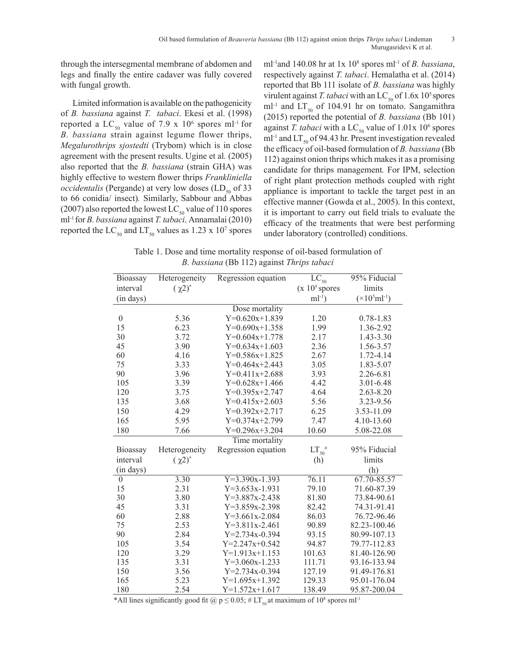through the intersegmental membrane of abdomen and legs and finally the entire cadaver was fully covered with fungal growth.

Limited information is available on the pathogenicity of *B. bassiana* against *T. tabaci*. Ekesi et al. (1998) reported a LC<sub>50</sub> value of 7.9 x  $10^6$  spores ml<sup>-1</sup> for *B. bassiana* strain against legume flower thrips, *Megalurothrips sjostedti* (Trybom) which is in close agreement with the present results. Ugine et al*.* (2005) also reported that the *B. bassiana* (strain GHA) was highly effective to western flower thrips *Frankliniella occidentalis* (Pergande) at very low doses  $(LD_{50}$  of 33 to 66 conidia/ insect)*.* Similarly, Sabbour and Abbas (2007) also reported the lowest LC<sub>50</sub> value of 110 spores ml-1 for *B. bassiana* against *T. tabaci*. Annamalai (2010) reported the  $LC_{50}$  and  $LT_{50}$  values as 1.23 x 10<sup>7</sup> spores

ml-1and 140.08 hr at 1x 108 spores ml-1 of *B. bassiana*, respectively against *T. tabaci*. Hemalatha et al. (2014) reported that Bb 111 isolate of *B. bassiana* was highly virulent against *T. tabaci* with an LC<sub>50</sub> of 1.6x 10<sup>5</sup> spores ml<sup>-1</sup> and  $LT_{50}$  of 104.91 hr on tomato. Sangamithra (2015) reported the potential of *B. bassiana* (Bb 101) against *T. tabaci* with a  $LC_{50}$  value of  $1.01x$  10<sup>6</sup> spores ml<sup>-1</sup> and LT<sub>50</sub> of 94.43 hr. Present investigation revealed the efficacy of oil-based formulation of *B. bassiana* (Bb 112) against onion thrips which makes it as a promising candidate for thrips management*.* For IPM, selection of right plant protection methods coupled with right appliance is important to tackle the target pest in an effective manner (Gowda et al., 2005). In this context, it is important to carry out field trials to evaluate the efficacy of the treatments that were best performing under laboratory (controlled) conditions.

Table 1. Dose and time mortality response of oil-based formulation of *B. bassiana* (Bb 112) against *Thrips tabaci*

| <b>Bioassay</b>  | Heterogeneity | Regression equation  | $\overline{\text{LC}}_{\text{50}}$ | 95% Fiducial                   |  |  |  |
|------------------|---------------|----------------------|------------------------------------|--------------------------------|--|--|--|
| interval         | $(\chi 2)^*$  |                      | $(x 105$ spores                    | limits                         |  |  |  |
| (in days)        |               |                      | $ml^{-1}$ )                        | $(\times 10^5 \text{ml}^{-1})$ |  |  |  |
|                  |               | Dose mortality       |                                    |                                |  |  |  |
| $\boldsymbol{0}$ | 5.36          | $Y=0.620x+1.839$     | 1.20                               | $0.78 - 1.83$                  |  |  |  |
| 15               | 6.23          | $Y=0.690x+1.358$     | 1.99                               | 1.36-2.92                      |  |  |  |
| 30               | 3.72          | $Y=0.604x+1.778$     | 2.17                               | 1.43-3.30                      |  |  |  |
| 45               | 3.90          | $Y=0.634x+1.603$     | 2.36                               | 1.56-3.57                      |  |  |  |
| 60               | 4.16          | $Y=0.586x+1.825$     | 2.67                               | 1.72-4.14                      |  |  |  |
| 75               | 3.33          | $Y=0.464x+2.443$     | 3.05                               | 1.83-5.07                      |  |  |  |
| 90               | 3.96          | $Y=0.411x+2.688$     | 3.93                               | 2.26-6.81                      |  |  |  |
| 105              | 3.39          | $Y=0.628x+1.466$     | 4.42                               | 3.01-6.48                      |  |  |  |
| 120              | 3.75          | $Y=0.395x+2.747$     | 4.64                               | $2.63 - 8.20$                  |  |  |  |
| 135              | 3.68          | $Y=0.415x+2.603$     | 5.56                               | 3.23-9.56                      |  |  |  |
| 150              | 4.29          | $Y=0.392x+2.717$     | 6.25                               | 3.53-11.09                     |  |  |  |
| 165              | 5.95          | $Y=0.374x+2.799$     | 7.47                               | 4.10-13.60                     |  |  |  |
| 180              | 7.66          | $Y=0.296x+3.204$     | 10.60                              | 5.08-22.08                     |  |  |  |
| Time mortality   |               |                      |                                    |                                |  |  |  |
| Bioassay         | Heterogeneity | Regression equation  | $LT_{50}$ #                        | 95% Fiducial                   |  |  |  |
| interval         | $(\chi 2)^*$  |                      | (h)                                | limits                         |  |  |  |
| (in days)        |               |                      |                                    | (h)                            |  |  |  |
| $\boldsymbol{0}$ | 3.30          | $Y=3.390x-1.393$     | 76.11                              | 67.70-85.57                    |  |  |  |
| 15               | 2.31          | $Y=3.653x-1.931$     | 79.10                              | 71.60-87.39                    |  |  |  |
| 30               | 3.80          | $Y=3.887x-2.438$     | 81.80                              | 73.84-90.61                    |  |  |  |
| 45               | 3.31          | $Y=3.859x-2.398$     | 82.42                              | 74.31-91.41                    |  |  |  |
| 60               | 2.88          | $Y=3.661x-2.084$     | 86.03                              | 76.72-96.46                    |  |  |  |
| 75               | 2.53          | $Y=3.811x-2.461$     | 90.89                              | 82.23-100.46                   |  |  |  |
| 90               | 2.84          | $Y=2.734x-0.394$     | 93.15                              | 80.99-107.13                   |  |  |  |
| 105              | 3.54          | $Y=2.247x+0.542$     | 94.87                              | 79.77-112.83                   |  |  |  |
| 120              | 3.29          | $Y=1.913x+1.153$     | 101.63                             | 81.40-126.90                   |  |  |  |
| 135              | 3.31          | $Y=3.060x-1.233$     | 111.71                             | 93.16-133.94                   |  |  |  |
| 150              | 3.56          | $Y = 2.734x - 0.394$ | 127.19                             | 91.49-176.81                   |  |  |  |
| 165              | 5.23          | $Y=1.695x+1.392$     | 129.33                             | 95.01-176.04                   |  |  |  |
| 180              | 2.54          | $Y=1.572x+1.617$     | 138.49                             | 95.87-200.04                   |  |  |  |

\*All lines significantly good fit  $\omega$  p  $\leq$  0.05; # LT<sub>50</sub> at maximum of 10<sup>8</sup> spores ml<sup>-1</sup>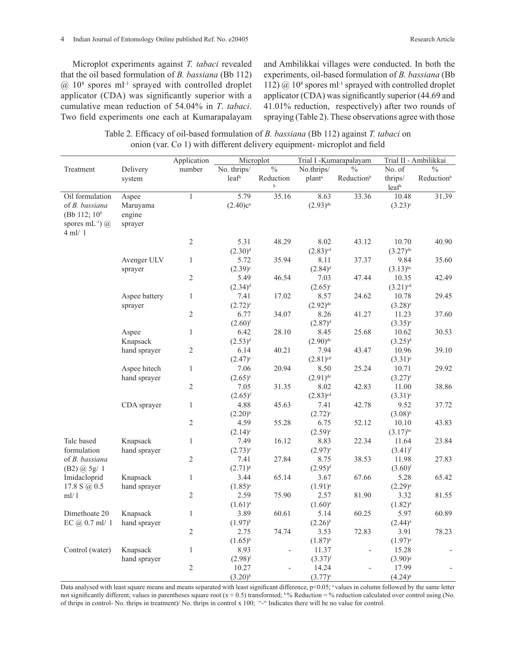Microplot experiments against *T. tabaci* revealed that the oil based formulation of *B. bassiana* (Bb 112)  $@10<sup>8</sup>$  spores ml<sup>-1</sup> sprayed with controlled droplet applicator (CDA) was significantly superior with a cumulative mean reduction of 54.04% in *T*. *tabaci*. Two field experiments one each at Kumarapalayam

and Ambilikkai villages were conducted. In both the experiments, oil-based formulation of *B. bassiana* (Bb 112)  $@$  10<sup>8</sup> spores ml<sup>-1</sup> sprayed with controlled droplet applicator (CDA) was significantly superior (44.69 and 41.01% reduction, respectively) after two rounds of spraying (Table 2). These observations agree with those

Table 2. Efficacy of oil-based formulation of *B. bassiana* (Bb 112) against *T. tabaci* on onion (var. Co 1) with different delivery equipment- microplot and field

|                            |                          | Application    | Microplot             |                          | Trial I -Kumarapalayam |                          | Trial II - Ambilikkai        |                          |
|----------------------------|--------------------------|----------------|-----------------------|--------------------------|------------------------|--------------------------|------------------------------|--------------------------|
| Treatment                  | Delivery                 | number         | No. thrips/           | $\overline{\frac{0}{6}}$ | No.thrips/             | $\frac{0}{0}$            | No. of                       | $\overline{\frac{0}{6}}$ |
|                            | system                   |                | leaf <sup>a</sup>     | Reduction<br>$\mathbf b$ | plant <sup>a</sup>     | Reductionb               | thrips/<br>leaf <sup>a</sup> | Reductionb               |
| Oil formulation            | Aspee                    | 1              | 5.79                  | 35.16                    | 8.63                   | 33.36                    | 10.48                        | 31.39                    |
| of B. bassiana             | Maruyama                 |                | $(2.40)c^{a}$         |                          | $(2.93)$ <sup>de</sup> |                          | $(3.23)^c$                   |                          |
| (Bb 112; 10 <sup>8</sup> ) | engine                   |                |                       |                          |                        |                          |                              |                          |
| spores mL $^{-1}$ ) $(a)$  | sprayer                  |                |                       |                          |                        |                          |                              |                          |
| $4$ ml/ 1                  |                          |                |                       |                          |                        |                          |                              |                          |
|                            |                          | $\overline{2}$ | 5.31                  | 48.29                    | 8.02                   | 43.12                    | 10.70                        | 40.90                    |
|                            |                          |                | $(2.30)^d$            |                          | $(2.83)^{cd}$          |                          | $(3.27)$ <sup>de</sup>       |                          |
|                            | Avenger ULV              | $\mathbf{1}$   | 5.72                  | 35.94                    | 8.11                   | 37.37                    | 9.84                         | 35.60                    |
|                            | sprayer                  | $\overline{2}$ | $(2.39)^c$            |                          | $(2.84)^d$             |                          | $(3.13)$ <sup>bc</sup>       |                          |
|                            |                          |                | 5.49                  | 46.54                    | 7.03                   | 47.44                    | 10.35                        | 42.49                    |
|                            |                          | $\mathbf{1}$   | $(2.34)^d$            | 17.02                    | $(2.65)^{c}$<br>8.57   | 24.62                    | $(3.21)^{cd}$<br>10.78       | 29.45                    |
|                            | Aspee battery<br>sprayer |                | 7.41<br>$(2.72)^{e}$  |                          | $(2.92)^{de}$          |                          | $(3.28)^e$                   |                          |
|                            |                          | $\sqrt{2}$     | 6.77                  | 34.07                    | 8.26                   | 41.27                    | 11.23                        | 37.60                    |
|                            |                          |                | $(2.60)$ <sup>f</sup> |                          | $(2.87)^{d}$           |                          | $(3.35)^{e}$                 |                          |
|                            | Aspee                    | $\mathbf{1}$   | 6.42                  | 28.10                    | 8.45                   | 25.68                    | 10.62                        | 30.53                    |
|                            | Knapsack                 |                | $(2.53)^{d}$          |                          | $(2.90)$ <sup>de</sup> |                          | $(3.25)^d$                   |                          |
|                            | hand sprayer             | $\mathfrak{2}$ | 6.14                  | 40.21                    | 7.94                   | 43.47                    | 10.96                        | 39.10                    |
|                            |                          |                | $(2.47)^e$            |                          | $(2.81)^{cd}$          |                          | $(3.31)^e$                   |                          |
|                            | Aspee hitech             | $\mathbf{1}$   | 7.06                  | 20.94                    | 8.50                   | 25.24                    | 10.71                        | 29.92                    |
|                            | hand sprayer             |                | $(2.65)^{e}$          |                          | $(2.91)$ <sup>de</sup> |                          | $(3.27)^{e}$                 |                          |
|                            |                          | $\mathfrak{2}$ | 7.05                  | 31.35                    | 8.02                   | 42.83                    | 11.00                        | 38.86                    |
|                            |                          |                | $(2.65)^{f}$          |                          | $(2.83)^{cd}$          |                          | $(3.31)^e$                   |                          |
|                            | CDA sprayer              | $\mathbf{1}$   | 4.88                  | 45.63                    | 7.41                   | 42.78                    | 9.52                         | 37.72                    |
|                            |                          |                | $(2.20)^{b}$          |                          | $(2.72)^{c}$           |                          | $(3.08)^{b}$                 |                          |
|                            |                          | $\overline{2}$ | 4.59                  | 55.28                    | 6.75                   | 52.12                    | 10.10                        | 43.83                    |
|                            |                          |                | $(2.14)^c$            |                          | $(2.59)^c$             |                          | $(3.17)$ <sup>bc</sup>       |                          |
| Talc based                 | Knapsack                 | $\mathbf{1}$   | 7.49                  | 16.12                    | 8.83                   | 22.34                    | 11.64                        | 23.84                    |
| formulation                | hand sprayer             |                | $(2.73)^{e}$          |                          | $(2.97)^{e}$           |                          | $(3.41)^{f}$                 |                          |
| of <i>B.</i> bassiana      |                          | $\overline{2}$ | 7.41                  | 27.84                    | 8.75                   | 38.53                    | 11.98                        | 27.83                    |
| (B2) @ 5g/1                |                          |                | $(2.71)^{8}$          |                          | $(2.95)^{d}$           |                          | $(3.60)$ <sup>f</sup>        |                          |
| Imidacloprid               | Knapsack                 | $\mathbf{1}$   | 3.44                  | 65.14                    | 3.67                   | 67.66                    | 5.28                         | 65.42                    |
| 17.8 S $\omega$ 0.5        | hand sprayer             |                | $(1.85)^{a}$          |                          | $(1.91)^{a}$           |                          | $(2.29)^{a}$                 |                          |
| ml/1                       |                          | $\overline{2}$ | 2.59                  | 75.90                    | 2.57                   | 81.90                    | 3.32                         | 81.55                    |
|                            |                          |                | $(1.61)^{a}$          |                          | $(1.60)^{a}$           |                          | $(1.82)^{a}$                 |                          |
| Dimethoate 20              | Knapsack                 | $\mathbf{1}$   | 3.89                  | 60.61                    | 5.14                   | 60.25                    | 5.97                         | 60.89                    |
| EC $(a)$ 0.7 ml/ 1         | hand sprayer             |                | $(1.97)^{b}$          |                          | $(2.26)^{b}$           |                          | $(2.44)^{a}$                 |                          |
|                            |                          | $\mathfrak{2}$ | 2.75                  | 74.74                    | 3.53                   | 72.83                    | 3.91                         | 78.23                    |
|                            |                          |                | $(1.65)^{b}$          |                          | $(1.87)^{b}$           |                          | $(1.97)^{a}$                 |                          |
| Control (water)            | Knapsack                 | $\mathbf{1}$   | 8.93                  | $\overline{\phantom{0}}$ | 11.37                  | $\overline{\phantom{a}}$ | 15.28                        |                          |
|                            | hand sprayer             |                | $(2.98)^{f}$          |                          | $(3.37)$ <sup>f</sup>  |                          | $(3.90)^{8}$                 |                          |
|                            |                          | $\mathfrak{2}$ | 10.27                 | $\overline{a}$           | 14.24                  | $\overline{a}$           | 17.99                        |                          |
|                            |                          |                | $(3.20)$ <sup>h</sup> |                          | $(3.77)^{e}$           |                          | $(4.24)^{8}$                 |                          |

Data analysed with least square means and means separated with least significant difference,  $p<0.05$ ; <sup>a</sup> values in column followed by the same letter not significantly different; values in parentheses square root  $(x + 0.5)$  transformed; <sup>b %</sup> Reduction = % reduction calculated over control using (No. of thrips in control- No. thrips in treatment)/ No. thrips in control x 100; "-" Indicates there will be no value for control.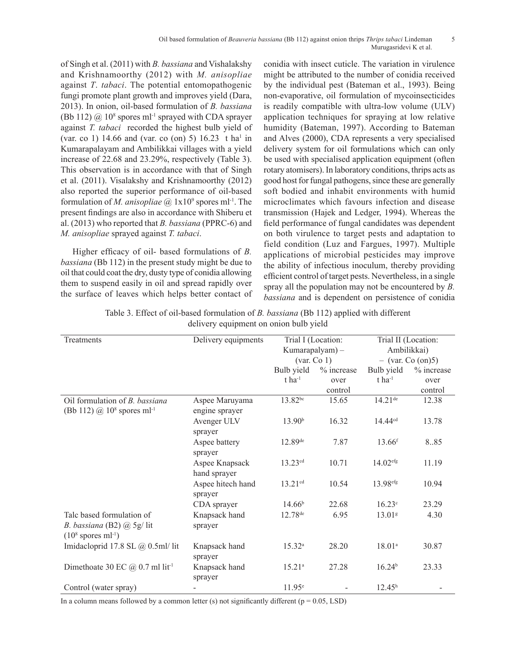#### Oil based formulation of *Beauveria bassiana* (Bb 112) against onion thrips *Thrips tabaci* Lindeman 5 Murugasridevi K et al.

of Singh et al. (2011) with *B. bassiana* and Vishalakshy and Krishnamoorthy (2012) with *M. anisopliae* against *T*. *tabaci*. The potential entomopathogenic fungi promote plant growth and improves yield (Dara, 2013). In onion, oil-based formulation of *B. bassiana*   $(Bb 112) @ 10<sup>8</sup>$  spores ml<sup>-1</sup> sprayed with CDA sprayer against *T. tabaci* recorded the highest bulb yield of (var. co 1) 14.66 and (var. co (on) 5) 16.23 t ha<sup>1</sup> in Kumarapalayam and Ambilikkai villages with a yield increase of 22.68 and 23.29%, respectively (Table 3). This observation is in accordance with that of Singh et al. (2011). Visalakshy and Krishnamoorthy (2012) also reported the superior performance of oil-based formulation of *M. anisopliae* @ 1x10<sup>9</sup> spores ml<sup>-1</sup>. The present findings are also in accordance with Shiberu et al. (2013) who reported that *B. bassiana* (PPRC-6) and *M. anisopliae* sprayed against *T. tabaci*.

Higher efficacy of oil- based formulations of *B. bassiana* (Bb 112) in the present study might be due to oil that could coat the dry, dusty type of conidia allowing them to suspend easily in oil and spread rapidly over the surface of leaves which helps better contact of conidia with insect cuticle. The variation in virulence might be attributed to the number of conidia received by the individual pest (Bateman et al., 1993). Being non-evaporative, oil formulation of mycoinsecticides is readily compatible with ultra-low volume (ULV) application techniques for spraying at low relative humidity (Bateman, 1997). According to Bateman and Alves (2000), CDA represents a very specialised delivery system for oil formulations which can only be used with specialised application equipment (often rotary atomisers). In laboratory conditions, thrips acts as good host for fungal pathogens, since these are generally soft bodied and inhabit environments with humid microclimates which favours infection and disease transmission (Hajek and Ledger, 1994). Whereas the field performance of fungal candidates was dependent on both virulence to target pests and adaptation to field condition (Luz and Fargues, 1997). Multiple applications of microbial pesticides may improve the ability of infectious inoculum, thereby providing efficient control of target pests. Nevertheless, in a single spray all the population may not be encountered by *B. bassiana* and is dependent on persistence of conidia

|                                        | Table 3. Effect of oil-based formulation of <i>B. bassiana</i> (Bb 112) applied with different |  |  |  |  |
|----------------------------------------|------------------------------------------------------------------------------------------------|--|--|--|--|
| delivery equipment on onion bulb yield |                                                                                                |  |  |  |  |

| Treatments                                                                                    | Delivery equipments              | Trial I (Location:<br>Kumarapalyam) -<br>(var. Co 1)<br>Bulb yield<br>% increase |         | Trial II (Location:<br>Ambilikkai)<br>$-$ (var. Co (on)5) |            |  |
|-----------------------------------------------------------------------------------------------|----------------------------------|----------------------------------------------------------------------------------|---------|-----------------------------------------------------------|------------|--|
|                                                                                               |                                  |                                                                                  |         |                                                           |            |  |
|                                                                                               |                                  |                                                                                  |         | Bulb yield                                                | % increase |  |
|                                                                                               |                                  | $t$ ha <sup>-1</sup>                                                             | over    | $t$ ha <sup>-1</sup>                                      | over       |  |
|                                                                                               |                                  |                                                                                  | control |                                                           | control    |  |
| Oil formulation of <i>B. bassiana</i><br>(Bb 112) $@$ 10 <sup>8</sup> spores ml <sup>-1</sup> | Aspee Maruyama<br>engine sprayer | 13.82bc                                                                          | 15.65   | $14.21$ <sup>de</sup>                                     | 12.38      |  |
|                                                                                               | Avenger ULV<br>sprayer           | 13.90 <sup>b</sup>                                                               | 16.32   | $14.44^{cd}$                                              | 13.78      |  |
|                                                                                               | Aspee battery<br>sprayer         | 12.89 <sup>de</sup>                                                              | 7.87    | $13.66$ <sup>f</sup>                                      | 8.85       |  |
|                                                                                               | Aspee Knapsack<br>hand sprayer   | $13.23^{cd}$                                                                     | 10.71   | 14.02 <sup>efg</sup>                                      | 11.19      |  |
|                                                                                               | Aspee hitech hand<br>sprayer     | 13.21cd                                                                          | 10.54   | 13.98 <sup>efg</sup>                                      | 10.94      |  |
|                                                                                               | CDA sprayer                      | 14.66 <sup>b</sup>                                                               | 22.68   | 16.23 <sup>c</sup>                                        | 23.29      |  |
| Talc based formulation of                                                                     | Knapsack hand                    | 12.78 <sup>de</sup>                                                              | 6.95    | 13.01 <sup>g</sup>                                        | 4.30       |  |
| B. bassiana (B2) $\omega$ 5g/lit<br>$(108$ spores ml <sup>-1</sup> )                          | sprayer                          |                                                                                  |         |                                                           |            |  |
| Imidacloprid 17.8 SL @ 0.5ml/ lit                                                             | Knapsack hand<br>sprayer         | $15.32^{a}$                                                                      | 28.20   | $18.01^{a}$                                               | 30.87      |  |
| Dimethoate 30 EC $@$ 0.7 ml lit <sup>-1</sup>                                                 | Knapsack hand<br>sprayer         | $15.21^{\circ}$                                                                  | 27.28   | 16.24 <sup>b</sup>                                        | 23.33      |  |
| Control (water spray)                                                                         |                                  | $11.95^e$                                                                        |         | $12.45^h$                                                 |            |  |

In a column means followed by a common letter (s) not significantly different ( $p = 0.05$ , LSD)